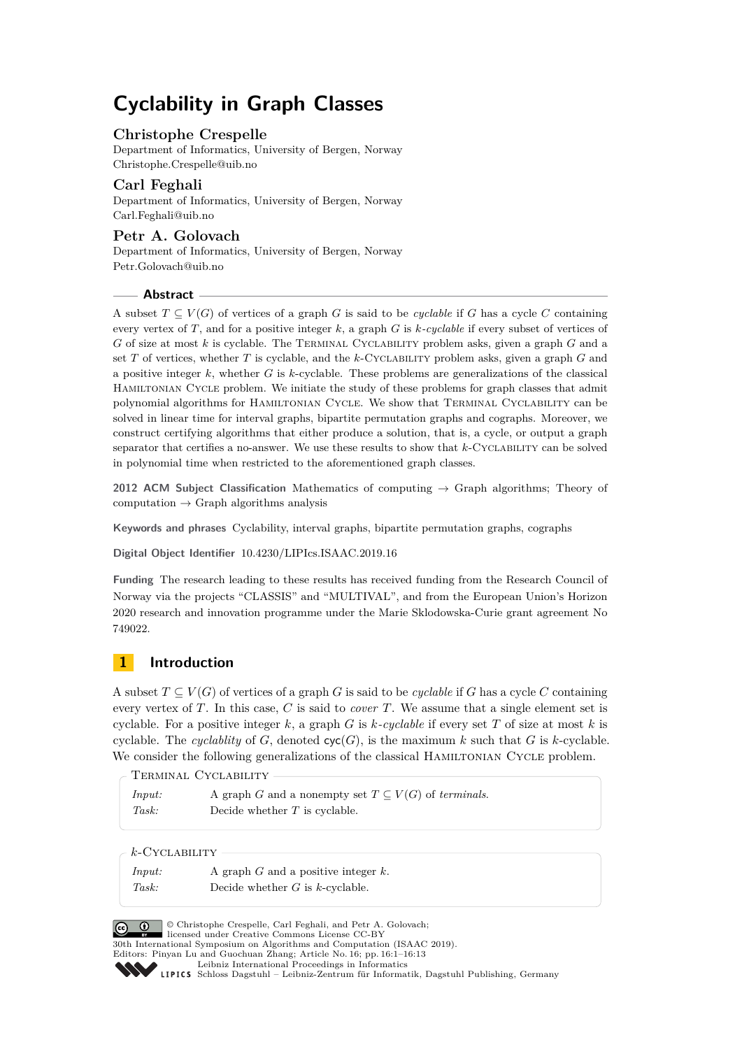# **Cyclability in Graph Classes**

# **Christophe Crespelle**

Department of Informatics, University of Bergen, Norway [Christophe.Crespelle@uib.no](mailto:Christophe.Crespelle@uib.no)

# **Carl Feghali**

Department of Informatics, University of Bergen, Norway [Carl.Feghali@uib.no](mailto:Carl.Feghali@uib.no)

# **Petr A. Golovach**

Department of Informatics, University of Bergen, Norway [Petr.Golovach@uib.no](mailto:Petr.Golovach@uib.no)

# **Abstract**

A subset  $T \subseteq V(G)$  of vertices of a graph *G* is said to be *cyclable* if *G* has a cycle *C* containing every vertex of *T*, and for a positive integer *k*, a graph *G* is *k-cyclable* if every subset of vertices of *G* of size at most *k* is cyclable. The Terminal Cyclability problem asks, given a graph *G* and a set *T* of vertices, whether *T* is cyclable, and the *k*-Cyclability problem asks, given a graph *G* and a positive integer *k*, whether *G* is *k*-cyclable. These problems are generalizations of the classical Hamiltonian Cycle problem. We initiate the study of these problems for graph classes that admit polynomial algorithms for Hamiltonian Cycle. We show that Terminal Cyclability can be solved in linear time for interval graphs, bipartite permutation graphs and cographs. Moreover, we construct certifying algorithms that either produce a solution, that is, a cycle, or output a graph separator that certifies a no-answer. We use these results to show that *k*-Cyclability can be solved in polynomial time when restricted to the aforementioned graph classes.

**2012 ACM Subject Classification** Mathematics of computing → Graph algorithms; Theory of computation  $\rightarrow$  Graph algorithms analysis

**Keywords and phrases** Cyclability, interval graphs, bipartite permutation graphs, cographs

**Digital Object Identifier** [10.4230/LIPIcs.ISAAC.2019.16](https://doi.org/10.4230/LIPIcs.ISAAC.2019.16)

**Funding** The research leading to these results has received funding from the Research Council of Norway via the projects "CLASSIS" and "MULTIVAL", and from the European Union's Horizon 2020 research and innovation programme under the Marie Sklodowska-Curie grant agreement No 749022.

# **1 Introduction**

A subset  $T \subseteq V(G)$  of vertices of a graph *G* is said to be *cyclable* if *G* has a cycle *C* containing every vertex of *T*. In this case, *C* is said to *cover T*. We assume that a single element set is cyclable. For a positive integer *k*, a graph *G* is *k-cyclable* if every set *T* of size at most *k* is cyclable. The *cyclablity* of *G*, denoted  $\text{cyc}(G)$ , is the maximum *k* such that *G* is *k*-cyclable. We consider the following generalizations of the classical HAMILTONIAN CYCLE problem.

Terminal Cyclability

| Input: | A graph G and a nonempty set $T \subseteq V(G)$ of terminals. |
|--------|---------------------------------------------------------------|
| Task:  | Decide whether $T$ is cyclable.                               |

*k*-Cyclability

| Input: | A graph $G$ and a positive integer $k$ . |
|--------|------------------------------------------|
| Task:  | Decide whether $G$ is k-cyclable.        |



© Christophe Crespelle, Carl Feghali, and Petr A. Golovach; licensed under Creative Commons License CC-BY 30th International Symposium on Algorithms and Computation (ISAAC 2019).

Editors: Pinyan Lu and Guochuan Zhang; Article No. 16; pp. 16:1–16[:13](#page-12-0) [Leibniz International Proceedings in Informatics](https://www.dagstuhl.de/lipics/)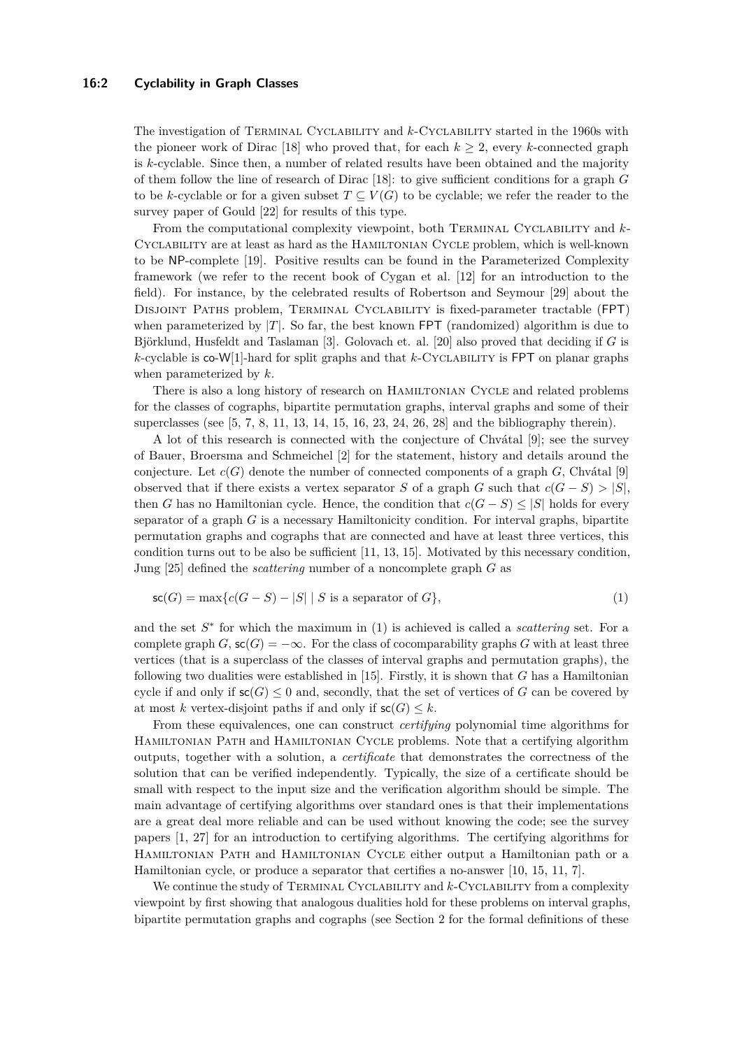#### **16:2 Cyclability in Graph Classes**

The investigation of Terminal Cyclability and *k*-Cyclability started in the 1960s with the pioneer work of Dirac [\[18\]](#page-11-0) who proved that, for each  $k \geq 2$ , every *k*-connected graph is *k*-cyclable. Since then, a number of related results have been obtained and the majority of them follow the line of research of Dirac [\[18\]](#page-11-0): to give sufficient conditions for a graph *G* to be *k*-cyclable or for a given subset  $T \subseteq V(G)$  to be cyclable; we refer the reader to the survey paper of Gould [\[22\]](#page-12-1) for results of this type.

From the computational complexity viewpoint, both Terminal Cyclability and *k*-Cyclability are at least as hard as the Hamiltonian Cycle problem, which is well-known to be NP-complete [\[19\]](#page-12-2). Positive results can be found in the Parameterized Complexity framework (we refer to the recent book of Cygan et al. [\[12\]](#page-11-1) for an introduction to the field). For instance, by the celebrated results of Robertson and Seymour [\[29\]](#page-12-3) about the Disjoint Paths problem, Terminal Cyclability is fixed-parameter tractable (FPT) when parameterized by  $|T|$ . So far, the best known FPT (randomized) algorithm is due to Björklund, Husfeldt and Taslaman [\[3\]](#page-11-2). Golovach et. al. [\[20\]](#page-12-4) also proved that deciding if *G* is *k*-cyclable is co-W[1]-hard for split graphs and that *k*-Cyclability is FPT on planar graphs when parameterized by *k*.

There is also a long history of research on Hamiltonian Cycle and related problems for the classes of cographs, bipartite permutation graphs, interval graphs and some of their superclasses (see [\[5,](#page-11-3) [7,](#page-11-4) [8,](#page-11-5) [11,](#page-11-6) [13,](#page-11-7) [14,](#page-11-8) [15,](#page-11-9) [16,](#page-11-10) [23,](#page-12-5) [24,](#page-12-6) [26,](#page-12-7) [28\]](#page-12-8) and the bibliography therein).

A lot of this research is connected with the conjecture of Chvátal [\[9\]](#page-11-11); see the survey of Bauer, Broersma and Schmeichel [\[2\]](#page-11-12) for the statement, history and details around the conjecture. Let  $c(G)$  denote the number of connected components of a graph  $G$ , Chvátal [\[9\]](#page-11-11) observed that if there exists a vertex separator *S* of a graph *G* such that  $c(G - S) > |S|$ , then *G* has no Hamiltonian cycle. Hence, the condition that  $c(G - S) \leq |S|$  holds for every separator of a graph *G* is a necessary Hamiltonicity condition. For interval graphs, bipartite permutation graphs and cographs that are connected and have at least three vertices, this condition turns out to be also be sufficient [\[11,](#page-11-6) [13,](#page-11-7) [15\]](#page-11-9). Motivated by this necessary condition, Jung [\[25\]](#page-12-9) defined the *scattering* number of a noncomplete graph *G* as

<span id="page-1-0"></span>
$$
\mathsf{sc}(G) = \max\{c(G - S) - |S| \mid S \text{ is a separator of } G\},\tag{1}
$$

and the set  $S^*$  for which the maximum in [\(1\)](#page-1-0) is achieved is called a *scattering* set. For a complete graph *G*,  $\mathsf{sc}(G) = -\infty$ . For the class of cocomparability graphs *G* with at least three vertices (that is a superclass of the classes of interval graphs and permutation graphs), the following two dualities were established in [\[15\]](#page-11-9). Firstly, it is shown that *G* has a Hamiltonian cycle if and only if  $\mathsf{sc}(G) \leq 0$  and, secondly, that the set of vertices of *G* can be covered by at most *k* vertex-disjoint paths if and only if  $\mathsf{sc}(G) \leq k$ .

From these equivalences, one can construct *certifying* polynomial time algorithms for Hamiltonian Path and Hamiltonian Cycle problems. Note that a certifying algorithm outputs, together with a solution, a *certificate* that demonstrates the correctness of the solution that can be verified independently. Typically, the size of a certificate should be small with respect to the input size and the verification algorithm should be simple. The main advantage of certifying algorithms over standard ones is that their implementations are a great deal more reliable and can be used without knowing the code; see the survey papers [\[1,](#page-11-13) [27\]](#page-12-10) for an introduction to certifying algorithms. The certifying algorithms for Hamiltonian Path and Hamiltonian Cycle either output a Hamiltonian path or a Hamiltonian cycle, or produce a separator that certifies a no-answer [\[10,](#page-11-14) [15,](#page-11-9) [11,](#page-11-6) [7\]](#page-11-4).

We continue the study of TERMINAL CYCLABILITY and  $k$ -CYCLABILITY from a complexity viewpoint by first showing that analogous dualities hold for these problems on interval graphs, bipartite permutation graphs and cographs (see Section [2](#page-3-0) for the formal definitions of these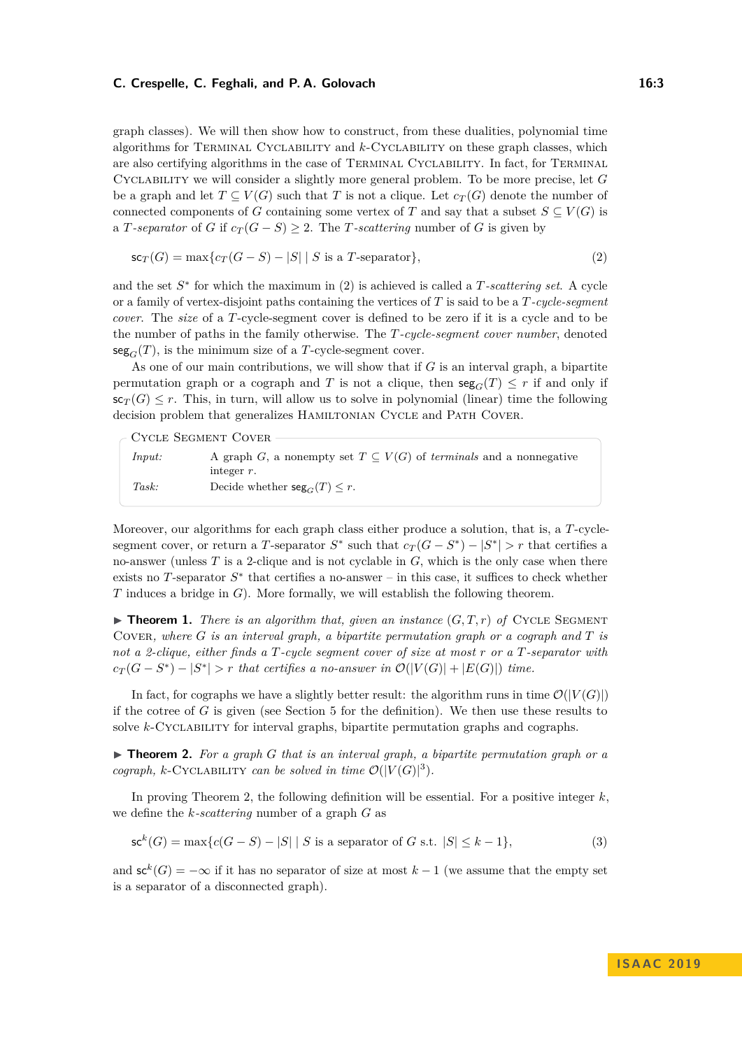#### **C. Crespelle, C. Feghali, and P. A. Golovach 16:3** 16:3

graph classes). We will then show how to construct, from these dualities, polynomial time algorithms for Terminal Cyclability and *k*-Cyclability on these graph classes, which are also certifying algorithms in the case of Terminal Cyclability. In fact, for Terminal Cyclability we will consider a slightly more general problem. To be more precise, let *G* be a graph and let  $T \subseteq V(G)$  such that *T* is not a clique. Let  $c_T(G)$  denote the number of connected components of *G* containing some vertex of *T* and say that a subset  $S \subseteq V(G)$  is a *T-separator* of *G* if  $c_T(G - S) \geq 2$ . The *T-scattering* number of *G* is given by

<span id="page-2-0"></span>
$$
\mathsf{sc}_T(G) = \max\{c_T(G - S) - |S| \mid S \text{ is a } T\text{-separator}\},\tag{2}
$$

and the set  $S^*$  for which the maximum in [\(2\)](#page-2-0) is achieved is called a *T*-scattering set. A cycle or a family of vertex-disjoint paths containing the vertices of *T* is said to be a *T-cycle-segment cover*. The *size* of a *T*-cycle-segment cover is defined to be zero if it is a cycle and to be the number of paths in the family otherwise. The *T-cycle-segment cover number*, denoted  $\text{seg}_G(T)$ , is the minimum size of a *T*-cycle-segment cover.

As one of our main contributions, we will show that if *G* is an interval graph, a bipartite permutation graph or a cograph and *T* is not a clique, then  $\text{seg}_G(T) \leq r$  if and only if  $\mathsf{sc}_T(G) \leq r$ . This, in turn, will allow us to solve in polynomial (linear) time the following decision problem that generalizes HAMILTONIAN CYCLE and PATH COVER.

Cycle Segment Cover

| Input: | A graph G, a nonempty set $T \subseteq V(G)$ of <i>terminals</i> and a nonnegative |
|--------|------------------------------------------------------------------------------------|
|        | integer $r$ .                                                                      |
| Task:  | Decide whether $\operatorname{seg}_{G}(T) \leq r$ .                                |

Moreover, our algorithms for each graph class either produce a solution, that is, a *T*-cyclesegment cover, or return a *T*-separator  $S^*$  such that  $c_T(G - S^*) - |S^*| > r$  that certifies a no-answer (unless *T* is a 2-clique and is not cyclable in *G*, which is the only case when there exists no  $T$ -separator  $S^*$  that certifies a no-answer – in this case, it suffices to check whether *T* induces a bridge in *G*). More formally, we will establish the following theorem.

<span id="page-2-2"></span> $\triangleright$  **Theorem 1.** *There is an algorithm that, given an instance*  $(G, T, r)$  *of* CYCLE SEGMENT COVER, where  $G$  is an interval graph, a bipartite permutation graph or a cograph and  $T$  is *not a 2-clique, either finds a T-cycle segment cover of size at most r or a T-separator with*  $c_T(G - S^*) - |S^*| > r$  *that certifies a no-answer in*  $\mathcal{O}(|V(G)| + |E(G)|)$  *time.* 

In fact, for cographs we have a slightly better result: the algorithm runs in time  $\mathcal{O}(|V(G)|)$ if the cotree of *G* is given (see Section [5](#page-10-0) for the definition). We then use these results to solve *k*-Cyclability for interval graphs, bipartite permutation graphs and cographs.

<span id="page-2-1"></span>▶ **Theorem 2.** For a graph *G* that is an interval graph, a bipartite permutation graph or a *cograph,*  $k$ -CYCLABILITY *can be solved in time*  $\mathcal{O}(|V(G)|^3)$ *.* 

In proving Theorem [2,](#page-2-1) the following definition will be essential. For a positive integer *k*, we define the *k-scattering* number of a graph *G* as

$$
\mathsf{sc}^k(G) = \max\{c(G - S) - |S| \mid S \text{ is a separator of } G \text{ s.t. } |S| \le k - 1\},\tag{3}
$$

and  $\mathsf{sc}^k(G) = -\infty$  if it has no separator of size at most  $k-1$  (we assume that the empty set is a separator of a disconnected graph).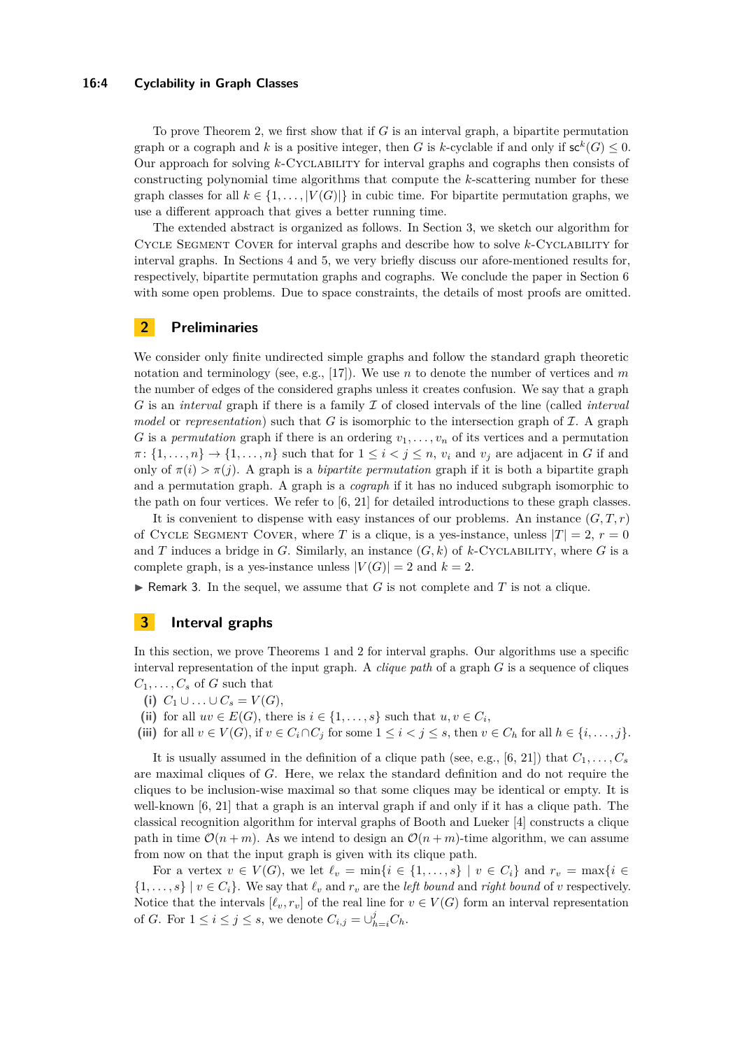#### **16:4 Cyclability in Graph Classes**

To prove Theorem [2,](#page-2-1) we first show that if *G* is an interval graph, a bipartite permutation graph or a cograph and *k* is a positive integer, then *G* is *k*-cyclable if and only if  $\mathsf{sc}^k(G) \leq 0$ . Our approach for solving *k*-Cyclability for interval graphs and cographs then consists of constructing polynomial time algorithms that compute the *k*-scattering number for these graph classes for all  $k \in \{1, \ldots, |V(G)|\}$  in cubic time. For bipartite permutation graphs, we use a different approach that gives a better running time.

The extended abstract is organized as follows. In Section [3,](#page-3-1) we sketch our algorithm for Cycle Segment Cover for interval graphs and describe how to solve *k*-Cyclability for interval graphs. In Sections [4](#page-9-0) and [5,](#page-10-0) we very briefly discuss our afore-mentioned results for, respectively, bipartite permutation graphs and cographs. We conclude the paper in Section [6](#page-10-1) with some open problems. Due to space constraints, the details of most proofs are omitted.

# <span id="page-3-0"></span>**2 Preliminaries**

We consider only finite undirected simple graphs and follow the standard graph theoretic notation and terminology (see, e.g., [\[17\]](#page-11-15)). We use *n* to denote the number of vertices and *m* the number of edges of the considered graphs unless it creates confusion. We say that a graph *G* is an *interval* graph if there is a family I of closed intervals of the line (called *interval model* or *representation*) such that *G* is isomorphic to the intersection graph of  $I$ . A graph *G* is a *permutation* graph if there is an ordering  $v_1, \ldots, v_n$  of its vertices and a permutation  $\pi$ :  $\{1, \ldots, n\}$   $\rightarrow$   $\{1, \ldots, n\}$  such that for  $1 \leq i < j \leq n$ ,  $v_i$  and  $v_j$  are adjacent in *G* if and only of  $\pi(i) > \pi(j)$ . A graph is a *bipartite permutation* graph if it is both a bipartite graph and a permutation graph. A graph is a *cograph* if it has no induced subgraph isomorphic to the path on four vertices. We refer to [\[6,](#page-11-16) [21\]](#page-12-11) for detailed introductions to these graph classes.

It is convenient to dispense with easy instances of our problems. An instance  $(G, T, r)$ of CYCLE SEGMENT COVER, where *T* is a clique, is a yes-instance, unless  $|T| = 2$ ,  $r = 0$ and *T* induces a bridge in *G*. Similarly, an instance  $(G, k)$  of *k*-CYCLABILITY, where *G* is a complete graph, is a yes-instance unless  $|V(G)| = 2$  and  $k = 2$ .

<span id="page-3-2"></span>Remark 3. In the sequel, we assume that  $G$  is not complete and  $T$  is not a clique.

# <span id="page-3-1"></span>**3 Interval graphs**

In this section, we prove Theorems [1](#page-2-2) and [2](#page-2-1) for interval graphs. Our algorithms use a specific interval representation of the input graph. A *clique path* of a graph *G* is a sequence of cliques  $C_1, \ldots, C_s$  of *G* such that

- **(i)**  $C_1 \cup ... \cup C_s = V(G)$ ,
- (ii) for all  $uv \in E(G)$ , there is  $i \in \{1, \ldots, s\}$  such that  $u, v \in C_i$ ,

(iii) for all 
$$
v \in V(G)
$$
, if  $v \in C_i \cap C_j$  for some  $1 \leq i < j \leq s$ , then  $v \in C_h$  for all  $h \in \{i, \ldots, j\}$ .

It is usually assumed in the definition of a clique path (see, e.g., [\[6,](#page-11-16) [21\]](#page-12-11)) that  $C_1, \ldots, C_s$ are maximal cliques of *G*. Here, we relax the standard definition and do not require the cliques to be inclusion-wise maximal so that some cliques may be identical or empty. It is well-known [\[6,](#page-11-16) [21\]](#page-12-11) that a graph is an interval graph if and only if it has a clique path. The classical recognition algorithm for interval graphs of Booth and Lueker [\[4\]](#page-11-17) constructs a clique path in time  $\mathcal{O}(n+m)$ . As we intend to design an  $\mathcal{O}(n+m)$ -time algorithm, we can assume from now on that the input graph is given with its clique path.

For a vertex  $v \in V(G)$ , we let  $\ell_v = \min\{i \in \{1, \ldots, s\} \mid v \in C_i\}$  and  $r_v = \max\{i \in \ell_v\}$  $\{1, \ldots, s\} \mid v \in C_i\}$ . We say that  $\ell_v$  and  $r_v$  are the *left bound* and *right bound* of *v* respectively. Notice that the intervals  $[\ell_v, r_v]$  of the real line for  $v \in V(G)$  form an interval representation of *G*. For  $1 \leq i \leq j \leq s$ , we denote  $C_{i,j} = \bigcup_{h=i}^{j} C_h$ .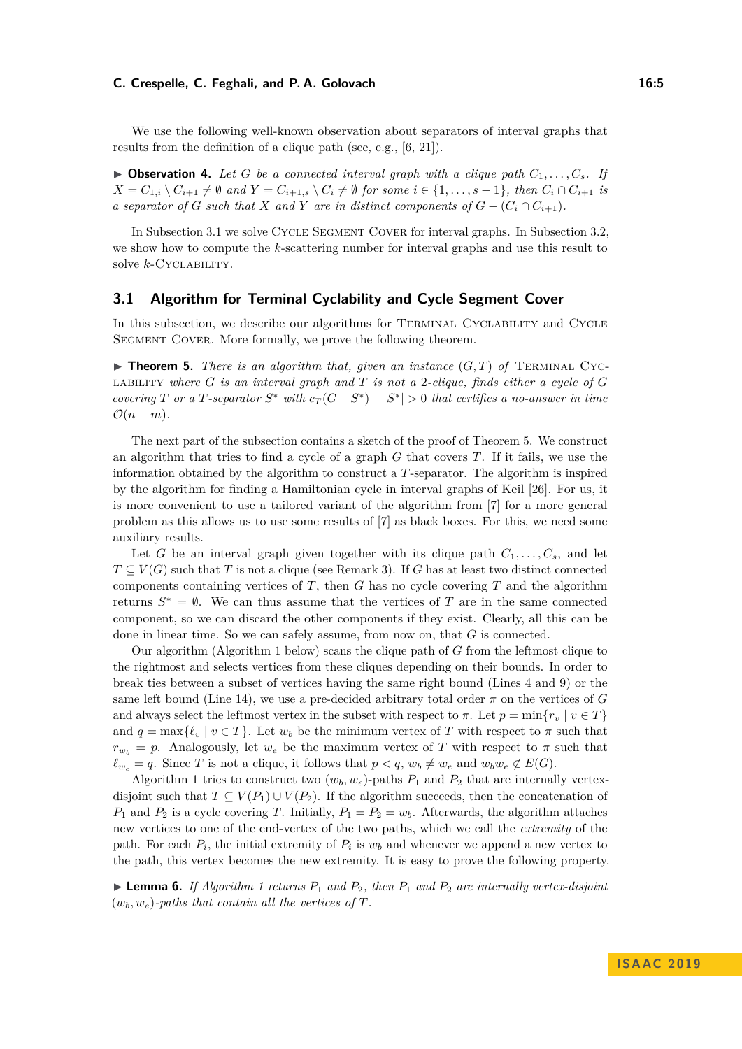#### **C. Crespelle, C. Feghali, and P. A. Golovach 16:5** 16:5

We use the following well-known observation about separators of interval graphs that results from the definition of a clique path (see, e.g., [\[6,](#page-11-16) [21\]](#page-12-11)).

<span id="page-4-2"></span> $\triangleright$  **Observation 4.** Let G be a connected interval graph with a clique path  $C_1, \ldots, C_s$ . If  $X = C_{1,i} \setminus C_{i+1} \neq \emptyset$  and  $Y = C_{i+1,s} \setminus C_i \neq \emptyset$  for some  $i \in \{1,\ldots,s-1\}$ , then  $C_i \cap C_{i+1}$  is *a separator of G such that X and Y are in distinct components of*  $G - (C_i \cap C_{i+1})$ *.* 

In Subsection [3.1](#page-4-0) we solve Cycle Segment Cover for interval graphs. In Subsection [3.2,](#page-8-0) we show how to compute the *k*-scattering number for interval graphs and use this result to solve *k*-Cyclability.

### <span id="page-4-0"></span>**3.1 Algorithm for Terminal Cyclability and Cycle Segment Cover**

In this subsection, we describe our algorithms for TERMINAL CYCLABILITY and CYCLE SEGMENT COVER. More formally, we prove the following theorem.

<span id="page-4-1"></span> $\triangleright$  **Theorem 5.** *There is an algorithm that, given an instance*  $(G,T)$  *of* TERMINAL CYClability *where G is an interval graph and T is not a* 2*-clique, finds either a cycle of G covering T* or a *T*-separator  $S^*$  with  $c_T(G - S^*) - |S^*| > 0$  that certifies a no-answer in time  $\mathcal{O}(n+m)$ .

The next part of the subsection contains a sketch of the proof of Theorem [5.](#page-4-1) We construct an algorithm that tries to find a cycle of a graph *G* that covers *T*. If it fails, we use the information obtained by the algorithm to construct a *T*-separator. The algorithm is inspired by the algorithm for finding a Hamiltonian cycle in interval graphs of Keil [\[26\]](#page-12-7). For us, it is more convenient to use a tailored variant of the algorithm from [\[7\]](#page-11-4) for a more general problem as this allows us to use some results of [\[7\]](#page-11-4) as black boxes. For this, we need some auxiliary results.

Let *G* be an interval graph given together with its clique path  $C_1, \ldots, C_s$ , and let  $T \subseteq V(G)$  such that *T* is not a clique (see Remark [3\)](#page-3-2). If *G* has at least two distinct connected components containing vertices of *T*, then *G* has no cycle covering *T* and the algorithm returns  $S^* = \emptyset$ . We can thus assume that the vertices of *T* are in the same connected component, so we can discard the other components if they exist. Clearly, all this can be done in linear time. So we can safely assume, from now on, that *G* is connected.

Our algorithm (Algorithm [1](#page-5-0) below) scans the clique path of *G* from the leftmost clique to the rightmost and selects vertices from these cliques depending on their bounds. In order to break ties between a subset of vertices having the same right bound (Lines 4 and 9) or the same left bound (Line 14), we use a pre-decided arbitrary total order  $\pi$  on the vertices of *G* and always select the leftmost vertex in the subset with respect to  $\pi$ . Let  $p = \min\{r_v \mid v \in T\}$ and  $q = \max{\ell_n | v \in T}$ . Let  $w_b$  be the minimum vertex of T with respect to  $\pi$  such that  $r_{w_b} = p$ . Analogously, let  $w_e$  be the maximum vertex of *T* with respect to  $\pi$  such that  $\ell_{w_e} = q$ . Since *T* is not a clique, it follows that  $p < q$ ,  $w_b \neq w_e$  and  $w_b w_e \notin E(G)$ .

Algorithm [1](#page-5-0) tries to construct two  $(w_b, w_e)$ -paths  $P_1$  and  $P_2$  that are internally vertexdisjoint such that  $T \subseteq V(P_1) \cup V(P_2)$ . If the algorithm succeeds, then the concatenation of *P*<sub>1</sub> and *P*<sub>2</sub> is a cycle covering *T*. Initially,  $P_1 = P_2 = w_b$ . Afterwards, the algorithm attaches new vertices to one of the end-vertex of the two paths, which we call the *extremity* of the path. For each  $P_i$ , the initial extremity of  $P_i$  is  $w_b$  and whenever we append a new vertex to the path, this vertex becomes the new extremity. It is easy to prove the following property.

<span id="page-4-3"></span>**Lemma 6.** If Algorithm [1](#page-5-0) returns  $P_1$  and  $P_2$ , then  $P_1$  and  $P_2$  are internally vertex-disjoint  $(w_b, w_e)$ -paths that contain all the vertices of  $T$ .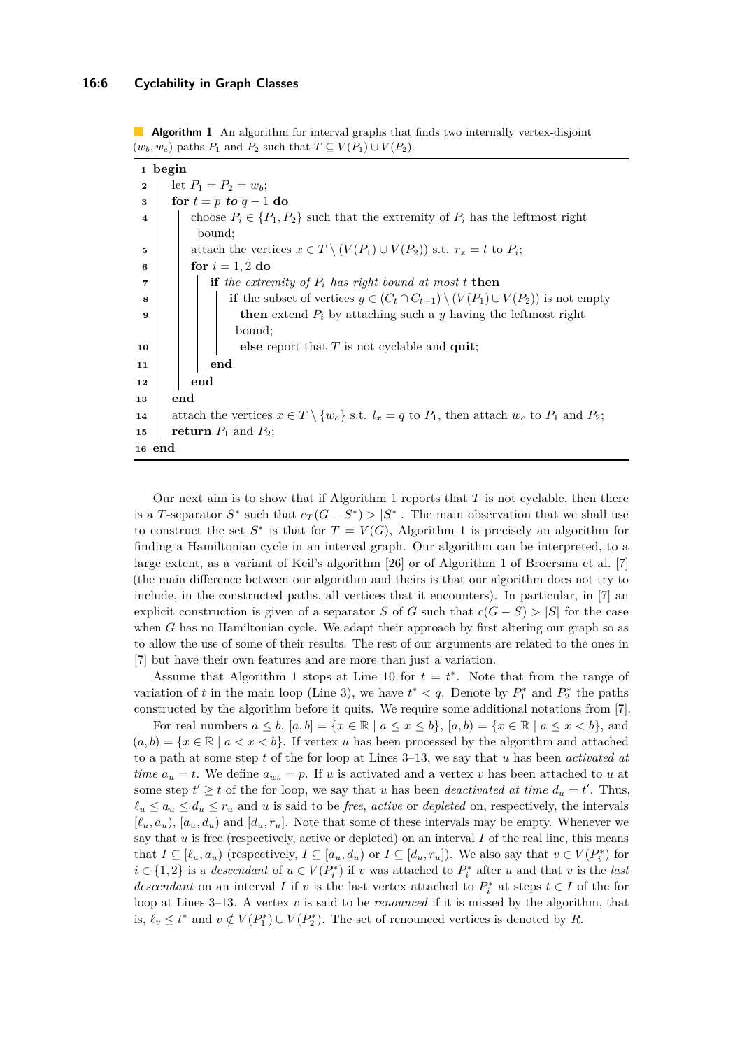**Algorithm 1** An algorithm for interval graphs that finds two internally vertex-disjoint  $(w_b, w_e)$ -paths  $P_1$  and  $P_2$  such that  $T \subseteq V(P_1) \cup V(P_2)$ .

|                         | 1 begin                                                                                                          |  |  |  |
|-------------------------|------------------------------------------------------------------------------------------------------------------|--|--|--|
| $\mathbf{2}$            | let $P_1 = P_2 = w_b;$                                                                                           |  |  |  |
| 3                       | for $t = p$ to $q - 1$ do                                                                                        |  |  |  |
| $\overline{\mathbf{4}}$ | choose $P_i \in \{P_1, P_2\}$ such that the extremity of $P_i$ has the leftmost right                            |  |  |  |
|                         | bound:                                                                                                           |  |  |  |
| 5                       | attach the vertices $x \in T \setminus (V(P_1) \cup V(P_2))$ s.t. $r_x = t$ to $P_i$ ;                           |  |  |  |
| 6                       | for $i = 1, 2$ do                                                                                                |  |  |  |
| 7                       | if the extremity of $P_i$ has right bound at most t then                                                         |  |  |  |
| 8                       | <b>if</b> the subset of vertices $y \in (C_t \cap C_{t+1}) \setminus (V(P_1) \cup V(P_2))$ is not empty          |  |  |  |
| 9                       | <b>then</b> extend $P_i$ by attaching such a y having the leftmost right                                         |  |  |  |
|                         | bound;                                                                                                           |  |  |  |
| 10                      | else report that $T$ is not cyclable and quit;                                                                   |  |  |  |
| 11                      | end                                                                                                              |  |  |  |
| 12                      | end                                                                                                              |  |  |  |
| 13                      | end                                                                                                              |  |  |  |
| 14                      | attach the vertices $x \in T \setminus \{w_e\}$ s.t. $l_x = q$ to $P_1$ , then attach $w_e$ to $P_1$ and $P_2$ ; |  |  |  |
| 15                      | return $P_1$ and $P_2$ ;                                                                                         |  |  |  |
| 16 end                  |                                                                                                                  |  |  |  |

<span id="page-5-0"></span>Our next aim is to show that if Algorithm [1](#page-5-0) reports that *T* is not cyclable, then there is a *T*-separator  $S^*$  such that  $c_T(G - S^*) > |S^*|$ . The main observation that we shall use to construct the set  $S^*$  is that for  $T = V(G)$ , Algorithm [1](#page-5-0) is precisely an algorithm for finding a Hamiltonian cycle in an interval graph. Our algorithm can be interpreted, to a large extent, as a variant of Keil's algorithm [\[26\]](#page-12-7) or of Algorithm 1 of Broersma et al. [\[7\]](#page-11-4) (the main difference between our algorithm and theirs is that our algorithm does not try to include, in the constructed paths, all vertices that it encounters). In particular, in [\[7\]](#page-11-4) an explicit construction is given of a separator *S* of *G* such that  $c(G - S) > |S|$  for the case when *G* has no Hamiltonian cycle. We adapt their approach by first altering our graph so as to allow the use of some of their results. The rest of our arguments are related to the ones in [\[7\]](#page-11-4) but have their own features and are more than just a variation.

Assume that Algorithm [1](#page-5-0) stops at Line 10 for  $t = t^*$ . Note that from the range of variation of *t* in the main loop (Line 3), we have  $t^* < q$ . Denote by  $P_1^*$  and  $P_2^*$  the paths constructed by the algorithm before it quits. We require some additional notations from [\[7\]](#page-11-4).

For real numbers  $a \leq b$ ,  $[a, b] = \{x \in \mathbb{R} \mid a \leq x \leq b\}$ ,  $[a, b] = \{x \in \mathbb{R} \mid a \leq x \leq b\}$ , and  $(a, b) = \{x \in \mathbb{R} \mid a < x < b\}.$  If vertex *u* has been processed by the algorithm and attached to a path at some step *t* of the for loop at Lines 3–13, we say that *u* has been *activated at time*  $a_u = t$ . We define  $a_{w_b} = p$ . If *u* is activated and a vertex *v* has been attached to *u* at some step  $t' \geq t$  of the for loop, we say that *u* has been *deactivated at time*  $d_u = t'$ . Thus,  $\ell_u \leq a_u \leq d_u \leq r_u$  and *u* is said to be *free*, *active* or *depleted* on, respectively, the intervals  $[\ell_u, a_u]$ ,  $[a_u, d_u]$  and  $[d_u, r_u]$ . Note that some of these intervals may be empty. Whenever we say that  $u$  is free (respectively, active or depleted) on an interval  $I$  of the real line, this means that  $I \subseteq [\ell_u, a_u)$  (respectively,  $I \subseteq [a_u, d_u)$  or  $I \subseteq [d_u, r_u]$ ). We also say that  $v \in V(P_i^*)$  for  $i \in \{1, 2\}$  is a *descendant* of  $u \in V(P_i^*)$  if *v* was attached to  $P_i^*$  after *u* and that *v* is the *last descendant* on an interval *I* if *v* is the last vertex attached to  $P_i^*$  at steps  $t \in I$  of the for loop at Lines 3–13. A vertex *v* is said to be *renounced* if it is missed by the algorithm, that is,  $\ell_v \leq t^*$  and  $v \notin V(P_1^*) \cup V(P_2^*)$ . The set of renounced vertices is denoted by R.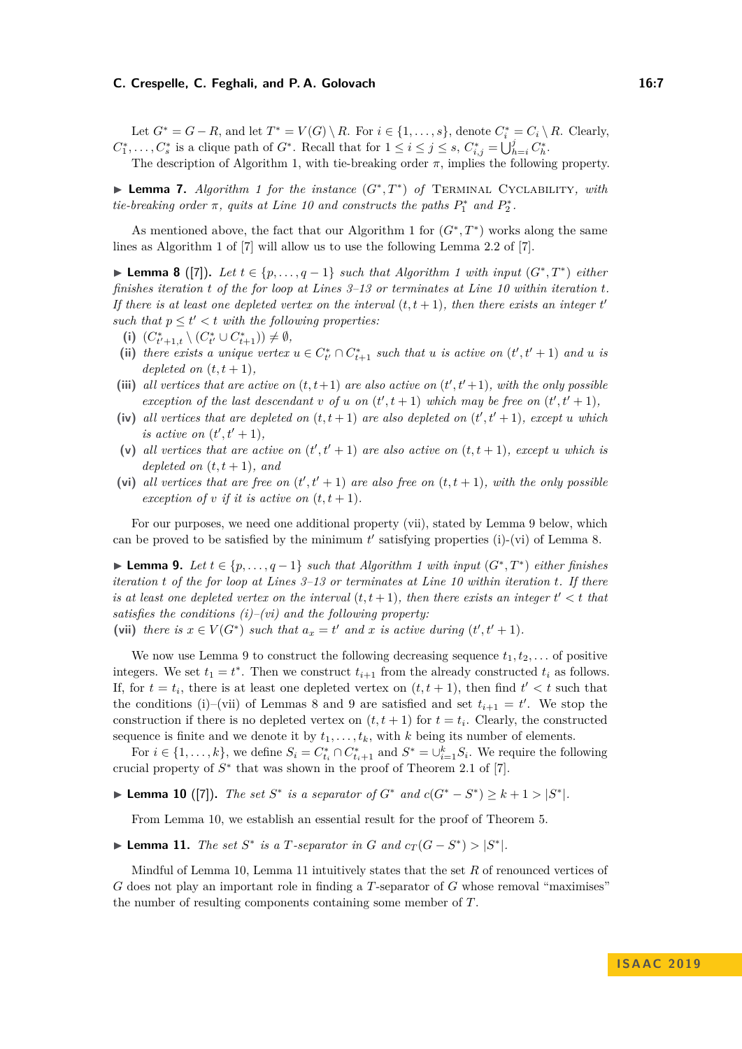#### **C. Crespelle, C. Feghali, and P. A. Golovach 16:7**

Let  $G^* = G - R$ , and let  $T^* = V(G) \setminus R$ . For  $i \in \{1, \ldots, s\}$ , denote  $C_i^* = C_i \setminus R$ . Clearly,  $C_1^*, \ldots, C_s^*$  is a clique path of  $G^*$ . Recall that for  $1 \le i \le j \le s$ ,  $C_{i,j}^* = \bigcup_{h=i}^j C_h^*$ .

The description of Algorithm 1, with tie-breaking order *π*, implies the following property.

▶ **Lemma 7.** *Algorithm [1](#page-5-0) for the instance*  $(G^*,T^*)$  *of* TERMINAL CYCLABILITY, with *tie-breaking order*  $\pi$ , *quits at Line 10 and constructs the paths*  $P_1^*$  *and*  $P_2^*$ .

As mentioned above, the fact that our Algorithm [1](#page-5-0) for  $(G^*,T^*)$  works along the same lines as Algorithm 1 of [\[7\]](#page-11-4) will allow us to use the following Lemma 2.2 of [\[7\]](#page-11-4).

<span id="page-6-1"></span>**► Lemma 8** ([\[7\]](#page-11-4)). Let  $t \in \{p, \ldots, q-1\}$  such that Algorithm [1](#page-5-0) with input  $(G^*, T^*)$  either *finishes iteration t of the for loop at Lines 3–13 or terminates at Line 10 within iteration t. If there is at least one depleted vertex on the interval*  $(t, t + 1)$ *, then there exists an integer t such that*  $p \le t' < t$  *with the following properties:* 

- **(i)**  $(C_{t'+1,t}^* \setminus (C_{t'}^* \cup C_{t+1}^*)) \neq \emptyset$ ,
- (ii) there exists a unique vertex  $u \in C^*_{t'} \cap C^*_{t+1}$  such that  $u$  is active on  $(t', t' + 1)$  and  $u$  is *depleted on*  $(t, t + 1)$ *,*
- (iii) all vertices that are active on  $(t, t+1)$  are also active on  $(t', t'+1)$ *, with the only possible exception of the last descendant v of u on*  $(t', t + 1)$  *which may be free on*  $(t', t' + 1)$ *,*
- (iv) all vertices that are depleted on  $(t, t + 1)$  are also depleted on  $(t', t' + 1)$ *, except u* which *is active on*  $(t', t' + 1)$ *,*
- (v) all vertices that are active on  $(t', t' + 1)$  are also active on  $(t, t + 1)$ , except *u* which is *depleted on*  $(t, t + 1)$ *, and*
- (vi) all vertices that are free on  $(t', t' + 1)$  are also free on  $(t, t + 1)$ , with the only possible *exception of v if it is active on*  $(t, t + 1)$ *.*

For our purposes, we need one additional property (vii), stated by Lemma [9](#page-6-0) below, which can be proved to be satisfied by the minimum  $t'$  satisfying properties (i)-(vi) of Lemma [8.](#page-6-1)

<span id="page-6-0"></span>**► Lemma 9.** Let  $t \in \{p, \ldots, q-1\}$  such that Algorithm [1](#page-5-0) with input  $(G^*, T^*)$  either finishes *iteration t of the for loop at Lines 3–13 or terminates at Line 10 within iteration t. If there is at least one depleted vertex on the interval*  $(t, t + 1)$ *, then there exists an integer*  $t' < t$  *that satisfies the conditions (i)–(vi) and the following property:*

(vii) *there is*  $x \in V(G^*)$  *such that*  $a_x = t'$  *and*  $x$  *is active during*  $(t', t' + 1)$ *.* 

We now use Lemma [9](#page-6-0) to construct the following decreasing sequence  $t_1, t_2, \ldots$  of positive integers. We set  $t_1 = t^*$ . Then we construct  $t_{i+1}$  from the already constructed  $t_i$  as follows. If, for  $t = t_i$ , there is at least one depleted vertex on  $(t, t + 1)$ , then find  $t' < t$  such that the conditions (i)–(vii) of Lemmas [8](#page-6-1) and [9](#page-6-0) are satisfied and set  $t_{i+1} = t'$ . We stop the construction if there is no depleted vertex on  $(t, t + 1)$  for  $t = t_i$ . Clearly, the constructed sequence is finite and we denote it by  $t_1, \ldots, t_k$ , with *k* being its number of elements.

For  $i \in \{1, \ldots, k\}$ , we define  $S_i = C_{t_i}^* \cap C_{t_i+1}^*$  and  $S^* = \bigcup_{i=1}^k S_i$ . We require the following crucial property of  $S^*$  that was shown in the proof of Theorem 2.1 of [\[7\]](#page-11-4).

<span id="page-6-2"></span>► **Lemma 10** ([\[7\]](#page-11-4)). The set  $S^*$  is a separator of  $G^*$  and  $c(G^* - S^*) \geq k + 1 > |S^*|$ .

From Lemma [10,](#page-6-2) we establish an essential result for the proof of Theorem [5.](#page-4-1)

<span id="page-6-3"></span>► **Lemma 11.** *The set*  $S^*$  *is a T*-separator *in*  $G$  *and*  $c_T(G - S^*) > |S^*|$ *.* 

Mindful of Lemma [10,](#page-6-2) Lemma [11](#page-6-3) intuitively states that the set *R* of renounced vertices of *G* does not play an important role in finding a *T*-separator of *G* whose removal "maximises" the number of resulting components containing some member of *T*.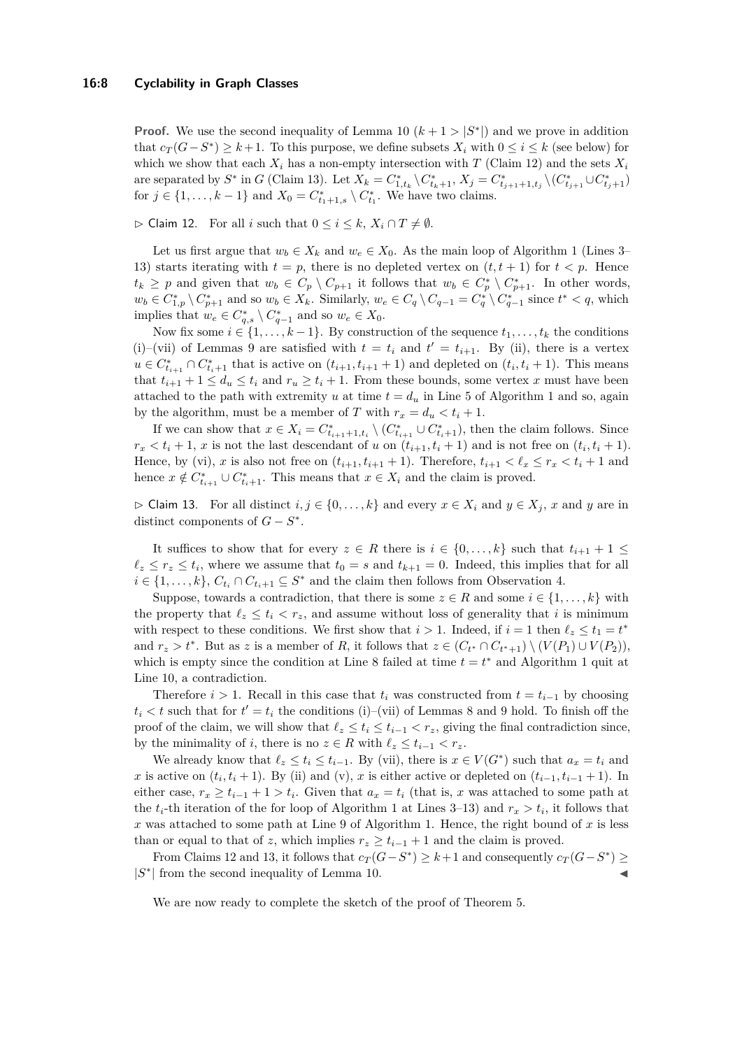**Proof.** We use the second inequality of Lemma [10](#page-6-2)  $(k + 1 > |S^*|)$  and we prove in addition that  $c_T(G-S^*)$  ≥  $k+1$ . To this purpose, we define subsets  $X_i$  with  $0 ≤ i ≤ k$  (see below) for which we show that each  $X_i$  has a non-empty intersection with *T* (Claim [12\)](#page-7-0) and the sets  $X_i$ are separated by  $S^*$  in G (Claim [13\)](#page-7-1). Let  $X_k = C^*_{1,t_k} \setminus C^*_{t_k+1}, X_j = C^*_{t_{j+1}+1,t_j} \setminus (C^*_{t_{j+1}} \cup C^*_{t_j+1})$ for  $j \in \{1, \ldots, k-1\}$  and  $X_0 = C^*_{t_1+1,s} \setminus C^*_{t_1}$ . We have two claims.

<span id="page-7-0"></span> $\triangleright$  Claim 12. For all *i* such that  $0 \leq i \leq k$ ,  $X_i \cap T \neq \emptyset$ .

Let us first argue that  $w_b \in X_k$  and  $w_e \in X_0$ . As the main loop of Algorithm [1](#page-5-0) (Lines 3– 13) starts iterating with  $t = p$ , there is no depleted vertex on  $(t, t + 1)$  for  $t < p$ . Hence  $t_k \geq p$  and given that  $w_b \in C_p \setminus C_{p+1}$  it follows that  $w_b \in C_p^* \setminus C_{p+1}^*$ . In other words,  $w_b \in C_{1,p}^* \setminus C_{p+1}^*$  and so  $w_b \in X_k$ . Similarly,  $w_e \in C_q \setminus C_{q-1} = C_q^* \setminus C_{q-1}^*$  since  $t^* < q$ , which implies that  $w_e \in C^*_{q,s} \setminus C^*_{q-1}$  and so  $w_e \in X_0$ .

Now fix some  $i \in \{1, \ldots, k-1\}$ . By construction of the sequence  $t_1, \ldots, t_k$  the conditions (i)–(vii) of Lemmas [9](#page-6-0) are satisfied with  $t = t_i$  and  $t' = t_{i+1}$ . By (ii), there is a vertex  $u \in C_{t_{i+1}}^* \cap C_{t_i+1}^*$  that is active on  $(t_{i+1}, t_{i+1} + 1)$  and depleted on  $(t_i, t_i + 1)$ . This means that  $t_{i+1} + 1 \leq d_u \leq t_i$  and  $r_u \geq t_i + 1$ . From these bounds, some vertex *x* must have been attached to the path with extremity *u* at time  $t = d_u$  in Line 5 of Algorithm [1](#page-5-0) and so, again by the algorithm, must be a member of *T* with  $r_x = d_u < t_i + 1$ .

If we can show that  $x \in X_i = C^*_{t_{i+1}+1,t_i} \setminus (C^*_{t_{i+1}} \cup C^*_{t_i+1}),$  then the claim follows. Since  $r_x < t_i + 1$ , *x* is not the last descendant of *u* on  $(t_{i+1}, t_i + 1)$  and is not free on  $(t_i, t_i + 1)$ . Hence, by (vi), x is also not free on  $(t_{i+1}, t_{i+1} + 1)$ . Therefore,  $t_{i+1} < \ell_x \leq r_x < t_i + 1$  and hence  $x \notin C^*_{t_{i+1}} \cup C^*_{t_i+1}$ . This means that  $x \in X_i$  and the claim is proved.

<span id="page-7-1"></span> $\triangleright$  Claim 13. For all distinct *i, j* ∈ {0, ..., *k*} and every *x* ∈ *X<sub>i</sub>* and *y* ∈ *X<sub>j</sub>*, *x* and *y* are in distinct components of  $G - S^*$ .

It suffices to show that for every  $z \in R$  there is  $i \in \{0, \ldots, k\}$  such that  $t_{i+1} + 1 \leq$  $\ell_z \leq r_z \leq t_i$ , where we assume that  $t_0 = s$  and  $t_{k+1} = 0$ . Indeed, this implies that for all  $i \in \{1, \ldots, k\}, C_{t_i} \cap C_{t_i+1} \subseteq S^*$  and the claim then follows from Observation [4.](#page-4-2)

Suppose, towards a contradiction, that there is some  $z \in R$  and some  $i \in \{1, ..., k\}$  with the property that  $\ell_z \leq t_i < r_z$ , and assume without loss of generality that *i* is minimum with respect to these conditions. We first show that  $i > 1$ . Indeed, if  $i = 1$  then  $\ell_z \leq t_1 = t^*$ and  $r_z > t^*$ . But as *z* is a member of *R*, it follows that  $z \in (C_{t^*} \cap C_{t^*+1}) \setminus (V(P_1) \cup V(P_2))$ , which is empty since the condition at Line 8 failed at time  $t = t^*$  and Algorithm [1](#page-5-0) quit at Line 10, a contradiction.

Therefore  $i > 1$ . Recall in this case that  $t_i$  was constructed from  $t = t_{i-1}$  by choosing  $t_i < t$  such that for  $t' = t_i$  the conditions (i)–(vii) of Lemmas [8](#page-6-1) and [9](#page-6-0) hold. To finish off the proof of the claim, we will show that  $\ell_z \leq t_i \leq t_{i-1} < r_z$ , giving the final contradiction since, by the minimality of *i*, there is no  $z \in R$  with  $\ell_z \leq t_{i-1} < r_z$ .

We already know that  $\ell_z \leq t_i \leq t_{i-1}$ . By (vii), there is  $x \in V(G^*)$  such that  $a_x = t_i$  and *x* is active on  $(t_i, t_i + 1)$ . By (ii) and (v), *x* is either active or depleted on  $(t_{i-1}, t_{i-1} + 1)$ . In either case,  $r_x \ge t_{i-1} + 1 > t_i$ . Given that  $a_x = t_i$  (that is, *x* was attached to some path at the  $t_i$ -th iteration of the for loop of Algorithm [1](#page-5-0) at Lines 3–13) and  $r_x > t_i$ , it follows that *x* was attached to some path at Line 9 of Algorithm [1.](#page-5-0) Hence, the right bound of *x* is less than or equal to that of *z*, which implies  $r_z \geq t_{i-1} + 1$  and the claim is proved.

From Claims [12](#page-7-0) and [13,](#page-7-1) it follows that  $c_T(G - S^*) \geq k + 1$  and consequently  $c_T(G - S^*) \geq$  $|S^*|$  from the second inequality of Lemma [10.](#page-6-2)

We are now ready to complete the sketch of the proof of Theorem [5.](#page-4-1)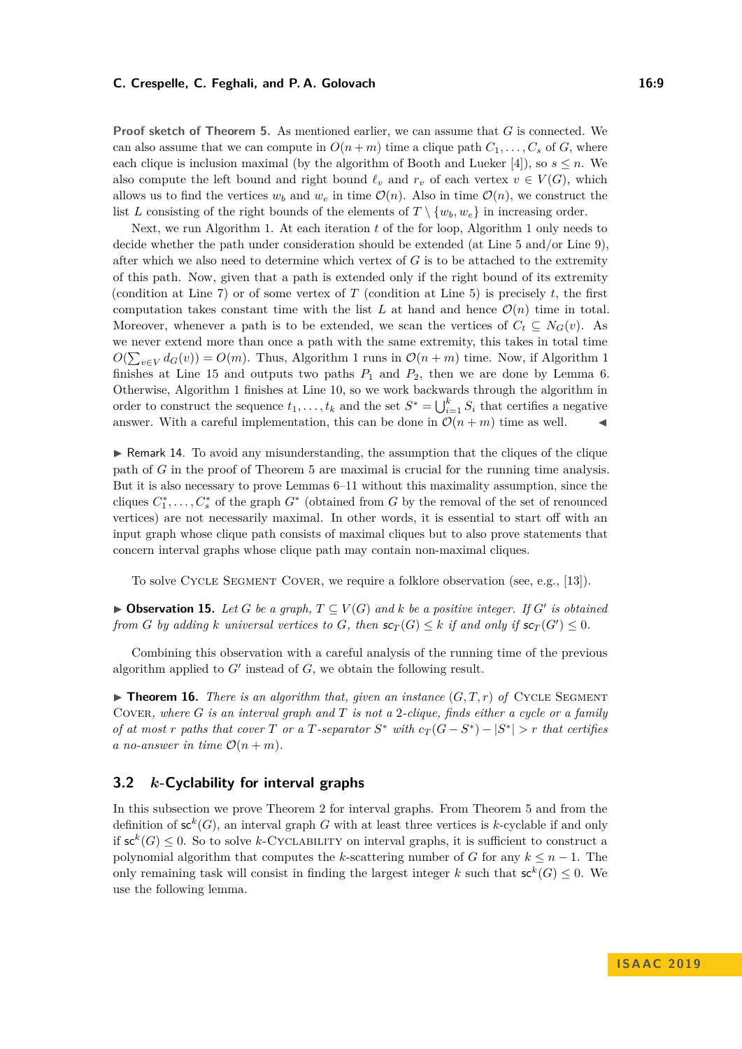#### **C. Crespelle, C. Feghali, and P. A. Golovach 16:9**

**Proof sketch of Theorem [5.](#page-4-1)** As mentioned earlier, we can assume that *G* is connected. We can also assume that we can compute in  $O(n+m)$  time a clique path  $C_1, \ldots, C_s$  of *G*, where each clique is inclusion maximal (by the algorithm of Booth and Lueker [\[4\]](#page-11-17)), so  $s \leq n$ . We also compute the left bound and right bound  $\ell_v$  and  $r_v$  of each vertex  $v \in V(G)$ , which allows us to find the vertices  $w_b$  and  $w_e$  in time  $\mathcal{O}(n)$ . Also in time  $\mathcal{O}(n)$ , we construct the list *L* consisting of the right bounds of the elements of  $T \setminus \{w_b, w_e\}$  in increasing order.

Next, we run Algorithm [1.](#page-5-0) At each iteration *t* of the for loop, Algorithm [1](#page-5-0) only needs to decide whether the path under consideration should be extended (at Line 5 and/or Line 9), after which we also need to determine which vertex of *G* is to be attached to the extremity of this path. Now, given that a path is extended only if the right bound of its extremity (condition at Line 7) or of some vertex of *T* (condition at Line 5) is precisely *t*, the first computation takes constant time with the list  $L$  at hand and hence  $\mathcal{O}(n)$  time in total. Moreover, whenever a path is to be extended, we scan the vertices of  $C_t \subseteq N_G(v)$ . As we never extend more than once a path with the same extremity, this takes in total time  $O(\sum_{v \in V} d_G(v)) = O(m)$ . Thus, Algorithm [1](#page-5-0) runs in  $O(n+m)$  time. Now, if Algorithm 1 finishes at Line 15 and outputs two paths  $P_1$  and  $P_2$ , then we are done by Lemma [6.](#page-4-3) Otherwise, Algorithm [1](#page-5-0) finishes at Line 10, so we work backwards through the algorithm in order to construct the sequence  $t_1, \ldots, t_k$  and the set  $S^* = \bigcup_{i=1}^k S_i$  that certifies a negative answer. With a careful implementation, this can be done in  $\mathcal{O}(n+m)$  time as well.

 $\blacktriangleright$  Remark 14. To avoid any misunderstanding, the assumption that the cliques of the clique path of *G* in the proof of Theorem [5](#page-4-1) are maximal is crucial for the running time analysis. But it is also necessary to prove Lemmas [6–](#page-4-3)[11](#page-6-3) without this maximality assumption, since the cliques  $C_1^*, \ldots, C_s^*$  of the graph  $G^*$  (obtained from  $G$  by the removal of the set of renounced vertices) are not necessarily maximal. In other words, it is essential to start off with an input graph whose clique path consists of maximal cliques but to also prove statements that concern interval graphs whose clique path may contain non-maximal cliques.

To solve Cycle Segment Cover, we require a folklore observation (see, e.g., [\[13\]](#page-11-7)).

<span id="page-8-2"></span>▶ **Observation 15.** *Let G be a graph,*  $T \subseteq V(G)$  *and k be a positive integer. If G' is obtained from G by adding k universal vertices to G*, *then*  $\mathsf{sc}_T(G) \leq k$  *if and only if*  $\mathsf{sc}_T(G') \leq 0$ *.* 

Combining this observation with a careful analysis of the running time of the previous algorithm applied to  $G'$  instead of  $G$ , we obtain the following result.

 $\triangleright$  **Theorem 16.** *There is an algorithm that, given an instance*  $(G, T, r)$  *of* CYCLE SEGMENT Cover*, where G is an interval graph and T is not a* 2*-clique, finds either a cycle or a family of at most r* paths that cover *T* or a *T*-separator  $S^*$  with  $c_T(G - S^*) - |S^*| > r$  that certifies *a* no-answer in time  $O(n+m)$ .

## <span id="page-8-0"></span>**3.2** *k***-Cyclability for interval graphs**

<span id="page-8-1"></span>In this subsection we prove Theorem [2](#page-2-1) for interval graphs. From Theorem [5](#page-4-1) and from the definition of  $\mathsf{sc}^k(G)$ , an interval graph *G* with at least three vertices is *k*-cyclable if and only if  $\mathsf{sc}^k(G) \leq 0$ . So to solve *k*-CYCLABILITY on interval graphs, it is sufficient to construct a polynomial algorithm that computes the *k*-scattering number of *G* for any  $k \leq n - 1$ . The only remaining task will consist in finding the largest integer *k* such that  $\mathsf{sc}^k(G) \leq 0$ . We use the following lemma.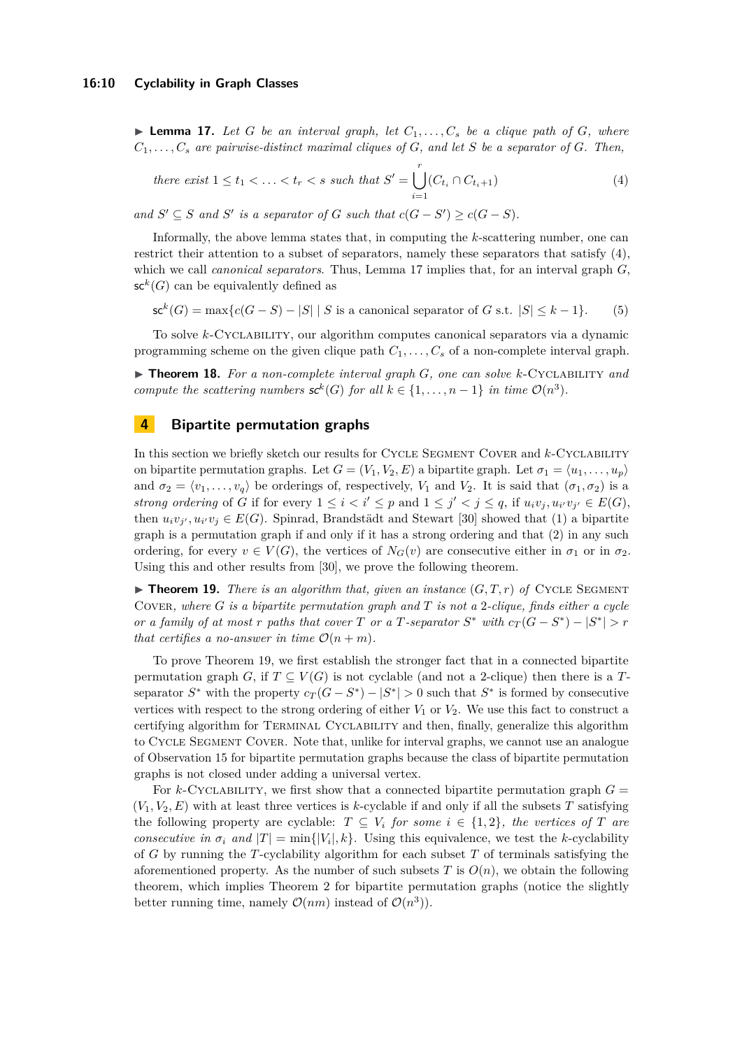$\blacktriangleright$  **Lemma 17.** Let *G* be an interval graph, let  $C_1, \ldots, C_s$  be a clique path of *G*, where  $C_1, \ldots, C_s$  are pairwise-distinct maximal cliques of  $G$ , and let  $S$  be a separator of  $G$ . Then,

<span id="page-9-1"></span>there exist 
$$
1 \le t_1 < ... < t_r < s
$$
 such that  $S' = \bigcup_{i=1}^r (C_{t_i} \cap C_{t_i+1})$  (4)

*and*  $S' \subseteq S$  *and*  $S'$  *is a separator of*  $G$  *such that*  $c(G - S') \ge c(G - S)$ *.* 

Informally, the above lemma states that, in computing the *k*-scattering number, one can restrict their attention to a subset of separators, namely these separators that satisfy [\(4\)](#page-9-1), which we call *canonical separators*. Thus, Lemma [17](#page-8-1) implies that, for an interval graph *G*,  $\mathsf{sc}^k(G)$  can be equivalently defined as

$$
\mathsf{sc}^k(G) = \max\{c(G - S) - |S| \mid S \text{ is a canonical separator of } G \text{ s.t. } |S| \le k - 1\}. \tag{5}
$$

To solve *k*-Cyclability, our algorithm computes canonical separators via a dynamic programming scheme on the given clique path  $C_1, \ldots, C_s$  of a non-complete interval graph.

I **Theorem 18.** *For a non-complete interval graph G, one can solve k*-Cyclability *and compute the scattering numbers*  $\mathbf{s}c^k(G)$  *for all*  $k \in \{1, \ldots, n-1\}$  *in time*  $\mathcal{O}(n^3)$ *.* 

# <span id="page-9-0"></span>**4 Bipartite permutation graphs**

In this section we briefly sketch our results for CYCLE SEGMENT COVER and *k*-CYCLABILITY on bipartite permutation graphs. Let  $G = (V_1, V_2, E)$  a bipartite graph. Let  $\sigma_1 = \langle u_1, \ldots, u_p \rangle$ and  $\sigma_2 = \langle v_1, \ldots, v_q \rangle$  be orderings of, respectively,  $V_1$  and  $V_2$ . It is said that  $(\sigma_1, \sigma_2)$  is a *strong ordering* of *G* if for every  $1 \leq i < i' \leq p$  and  $1 \leq j' < j \leq q$ , if  $u_i v_j, u_{i'} v_{j'} \in E(G)$ , then  $u_i v_j$ ,  $u_{i'} v_j \in E(G)$ . Spinrad, Brandstädt and Stewart [\[30\]](#page-12-12) showed that (1) a bipartite graph is a permutation graph if and only if it has a strong ordering and that (2) in any such ordering, for every  $v \in V(G)$ , the vertices of  $N_G(v)$  are consecutive either in  $\sigma_1$  or in  $\sigma_2$ . Using this and other results from [\[30\]](#page-12-12), we prove the following theorem.

<span id="page-9-2"></span> $\blacktriangleright$  **Theorem 19.** *There is an algorithm that, given an instance*  $(G, T, r)$  *of* CYCLE SEGMENT Cover*, where G is a bipartite permutation graph and T is not a* 2*-clique, finds either a cycle or a family of at most r* paths that cover *T* or a *T*-separator  $S^*$  with  $c_T(G - S^*) - |S^*| > r$ *that certifies a no-answer in time*  $\mathcal{O}(n+m)$ *.* 

To prove Theorem [19,](#page-9-2) we first establish the stronger fact that in a connected bipartite permutation graph *G*, if  $T \subseteq V(G)$  is not cyclable (and not a 2-clique) then there is a *T*separator  $S^*$  with the property  $c_T(G - S^*) - |S^*| > 0$  such that  $S^*$  is formed by consecutive vertices with respect to the strong ordering of either  $V_1$  or  $V_2$ . We use this fact to construct a certifying algorithm for Terminal Cyclability and then, finally, generalize this algorithm to Cycle Segment Cover. Note that, unlike for interval graphs, we cannot use an analogue of Observation [15](#page-8-2) for bipartite permutation graphs because the class of bipartite permutation graphs is not closed under adding a universal vertex.

For *k*-CYCLABILITY, we first show that a connected bipartite permutation graph  $G =$  $(V_1, V_2, E)$  with at least three vertices is *k*-cyclable if and only if all the subsets *T* satisfying the following property are cyclable:  $T \subseteq V_i$  *for some*  $i \in \{1,2\}$ *, the vertices of T* are *consecutive in*  $\sigma_i$  *and*  $|T| = \min\{|V_i|, k\}$ . Using this equivalence, we test the *k*-cyclability of *G* by running the *T*-cyclability algorithm for each subset *T* of terminals satisfying the aforementioned property. As the number of such subsets  $T$  is  $O(n)$ , we obtain the following theorem, which implies Theorem [2](#page-2-1) for bipartite permutation graphs (notice the slightly better running time, namely  $\mathcal{O}(nm)$  instead of  $\mathcal{O}(n^3)$ .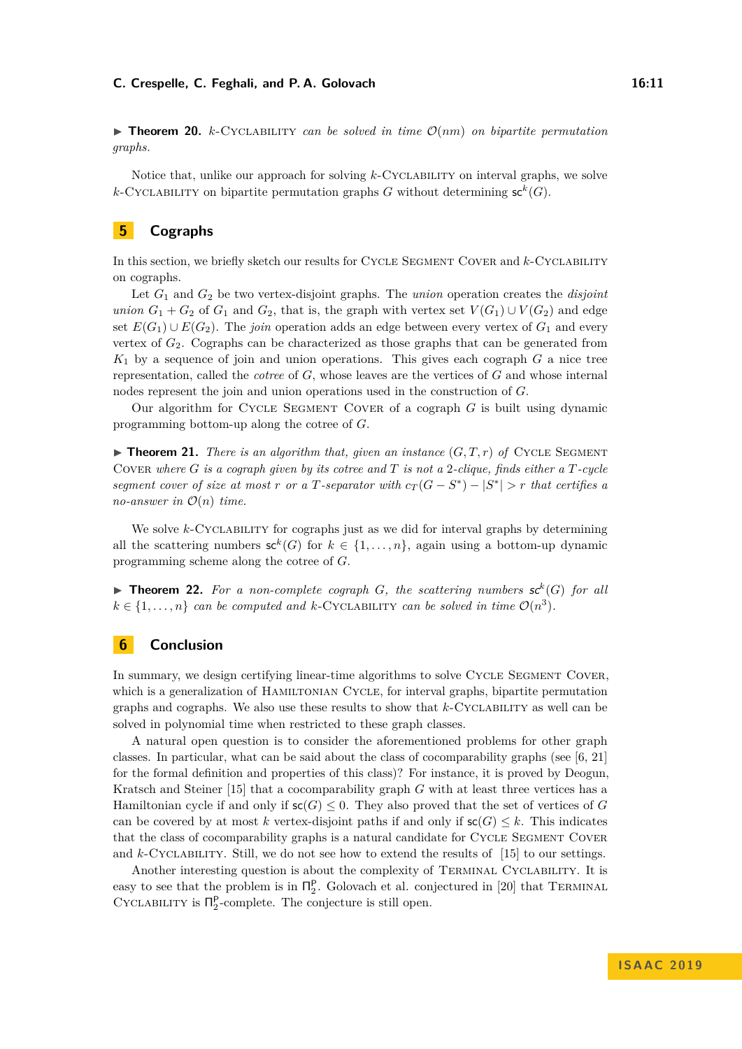#### **C. Crespelle, C. Feghali, and P. A. Golovach 16:11** 16:11

 $\triangleright$  **Theorem 20.** *k*-CYCLABILITY *can be solved in time*  $\mathcal{O}(nm)$  *on bipartite permutation graphs.*

Notice that, unlike our approach for solving *k*-Cyclability on interval graphs, we solve *k*-CYCLABILITY on bipartite permutation graphs *G* without determining  $\mathsf{sc}^k(G)$ .

# <span id="page-10-0"></span>**5 Cographs**

In this section, we briefly sketch our results for CYCLE SEGMENT COVER and *k*-CYCLABILITY on cographs.

Let *G*<sup>1</sup> and *G*<sup>2</sup> be two vertex-disjoint graphs. The *union* operation creates the *disjoint union*  $G_1 + G_2$  of  $G_1$  and  $G_2$ , that is, the graph with vertex set  $V(G_1) \cup V(G_2)$  and edge set  $E(G_1) \cup E(G_2)$ . The *join* operation adds an edge between every vertex of  $G_1$  and every vertex of *G*2. Cographs can be characterized as those graphs that can be generated from *K*<sup>1</sup> by a sequence of join and union operations. This gives each cograph *G* a nice tree representation, called the *cotree* of *G*, whose leaves are the vertices of *G* and whose internal nodes represent the join and union operations used in the construction of *G*.

Our algorithm for Cycle Segment Cover of a cograph *G* is built using dynamic programming bottom-up along the cotree of *G*.

 $\triangleright$  **Theorem 21.** *There is an algorithm that, given an instance*  $(G, T, r)$  *of* CYCLE SEGMENT Cover *where G is a cograph given by its cotree and T is not a* 2*-clique, finds either a T-cycle segment cover of size at most r or a T-separator with*  $c_T(G - S^*) - |S^*| > r$  *that certifies a no-answer in*  $\mathcal{O}(n)$  *time.* 

We solve *k*-Cyclability for cographs just as we did for interval graphs by determining all the scattering numbers  $\mathsf{sc}^k(G)$  for  $k \in \{1, \ldots, n\}$ , again using a bottom-up dynamic programming scheme along the cotree of *G*.

**Findamerical Theorem 22.** For a non-complete cograph  $G$ , the scattering numbers  $sc^k(G)$  for all  $k \in \{1, \ldots, n\}$  *can be computed and k*-CYCLABILITY *can be solved in time*  $\mathcal{O}(n^3)$ *.* 

## <span id="page-10-1"></span>**6 Conclusion**

In summary, we design certifying linear-time algorithms to solve CYCLE SEGMENT COVER, which is a generalization of HAMILTONIAN CYCLE, for interval graphs, bipartite permutation graphs and cographs. We also use these results to show that *k*-Cyclability as well can be solved in polynomial time when restricted to these graph classes.

A natural open question is to consider the aforementioned problems for other graph classes. In particular, what can be said about the class of cocomparability graphs (see [\[6,](#page-11-16) [21\]](#page-12-11) for the formal definition and properties of this class)? For instance, it is proved by Deogun, Kratsch and Steiner [\[15\]](#page-11-9) that a cocomparability graph *G* with at least three vertices has a Hamiltonian cycle if and only if  $\mathsf{sc}(G) \leq 0$ . They also proved that the set of vertices of *G* can be covered by at most *k* vertex-disjoint paths if and only if  $\mathsf{sc}(G) \leq k$ . This indicates that the class of cocomparability graphs is a natural candidate for CYCLE SEGMENT COVER and *k*-Cyclabillity. Still, we do not see how to extend the results of [\[15\]](#page-11-9) to our settings.

Another interesting question is about the complexity of Terminal Cyclability. It is easy to see that the problem is in  $\Pi_2^P$ . Golovach et al. conjectured in [\[20\]](#page-12-4) that TERMINAL CYCLABILITY is  $\Pi_2^{\mathsf{P}}$ -complete. The conjecture is still open.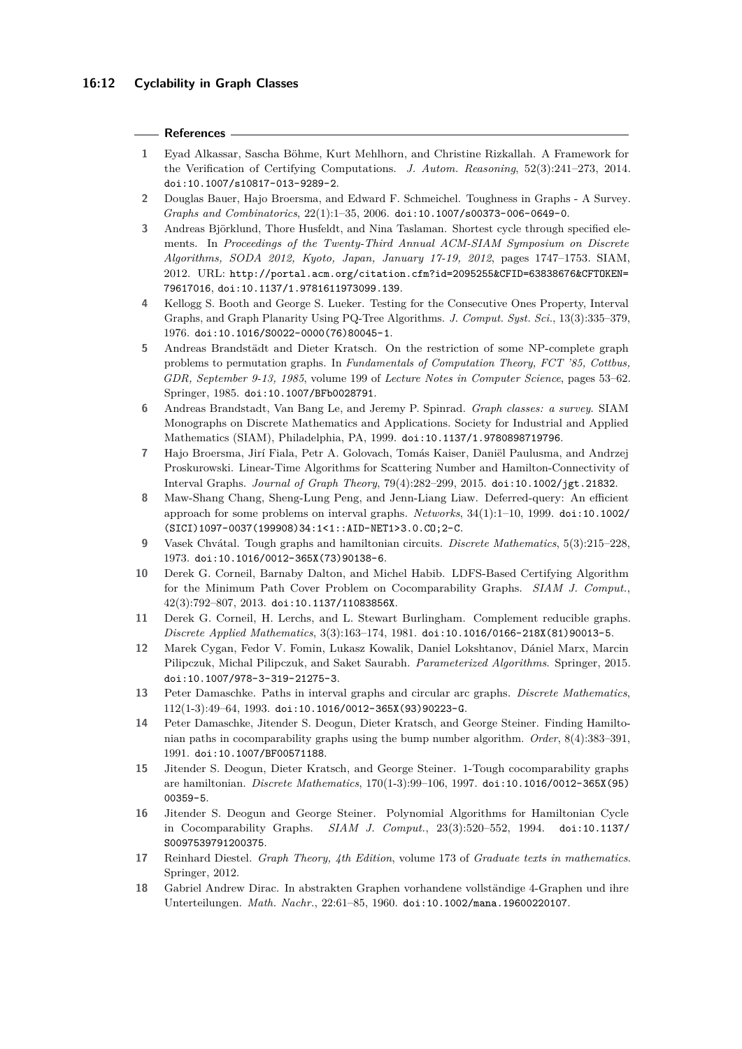#### **References**

- <span id="page-11-13"></span>**1** Eyad Alkassar, Sascha Böhme, Kurt Mehlhorn, and Christine Rizkallah. A Framework for the Verification of Certifying Computations. *J. Autom. Reasoning*, 52(3):241–273, 2014. [doi:10.1007/s10817-013-9289-2](https://doi.org/10.1007/s10817-013-9289-2).
- <span id="page-11-12"></span>**2** Douglas Bauer, Hajo Broersma, and Edward F. Schmeichel. Toughness in Graphs - A Survey. *Graphs and Combinatorics*, 22(1):1–35, 2006. [doi:10.1007/s00373-006-0649-0](https://doi.org/10.1007/s00373-006-0649-0).
- <span id="page-11-2"></span>**3** Andreas Björklund, Thore Husfeldt, and Nina Taslaman. Shortest cycle through specified elements. In *Proceedings of the Twenty-Third Annual ACM-SIAM Symposium on Discrete Algorithms, SODA 2012, Kyoto, Japan, January 17-19, 2012*, pages 1747–1753. SIAM, 2012. URL: [http://portal.acm.org/citation.cfm?id=2095255&CFID=63838676&CFTOKEN=](http://portal.acm.org/citation.cfm?id=2095255&CFID=63838676&CFTOKEN=79617016) [79617016](http://portal.acm.org/citation.cfm?id=2095255&CFID=63838676&CFTOKEN=79617016), [doi:10.1137/1.9781611973099.139](https://doi.org/10.1137/1.9781611973099.139).
- <span id="page-11-17"></span>**4** Kellogg S. Booth and George S. Lueker. Testing for the Consecutive Ones Property, Interval Graphs, and Graph Planarity Using PQ-Tree Algorithms. *J. Comput. Syst. Sci.*, 13(3):335–379, 1976. [doi:10.1016/S0022-0000\(76\)80045-1](https://doi.org/10.1016/S0022-0000(76)80045-1).
- <span id="page-11-3"></span>**5** Andreas Brandstädt and Dieter Kratsch. On the restriction of some NP-complete graph problems to permutation graphs. In *Fundamentals of Computation Theory, FCT '85, Cottbus, GDR, September 9-13, 1985*, volume 199 of *Lecture Notes in Computer Science*, pages 53–62. Springer, 1985. [doi:10.1007/BFb0028791](https://doi.org/10.1007/BFb0028791).
- <span id="page-11-16"></span>**6** Andreas Brandstadt, Van Bang Le, and Jeremy P. Spinrad. *Graph classes: a survey*. SIAM Monographs on Discrete Mathematics and Applications. Society for Industrial and Applied Mathematics (SIAM), Philadelphia, PA, 1999. [doi:10.1137/1.9780898719796](https://doi.org/10.1137/1.9780898719796).
- <span id="page-11-4"></span>**7** Hajo Broersma, Jirí Fiala, Petr A. Golovach, Tomás Kaiser, Daniël Paulusma, and Andrzej Proskurowski. Linear-Time Algorithms for Scattering Number and Hamilton-Connectivity of Interval Graphs. *Journal of Graph Theory*, 79(4):282–299, 2015. [doi:10.1002/jgt.21832](https://doi.org/10.1002/jgt.21832).
- <span id="page-11-5"></span>**8** Maw-Shang Chang, Sheng-Lung Peng, and Jenn-Liang Liaw. Deferred-query: An efficient approach for some problems on interval graphs. *Networks*, 34(1):1–10, 1999. [doi:10.1002/](https://doi.org/10.1002/(SICI)1097-0037(199908)34:1<1::AID-NET1>3.0.CO;2-C) [\(SICI\)1097-0037\(199908\)34:1<1::AID-NET1>3.0.CO;2-C](https://doi.org/10.1002/(SICI)1097-0037(199908)34:1<1::AID-NET1>3.0.CO;2-C).
- <span id="page-11-11"></span>**9** Vasek Chvátal. Tough graphs and hamiltonian circuits. *Discrete Mathematics*, 5(3):215–228, 1973. [doi:10.1016/0012-365X\(73\)90138-6](https://doi.org/10.1016/0012-365X(73)90138-6).
- <span id="page-11-14"></span>**10** Derek G. Corneil, Barnaby Dalton, and Michel Habib. LDFS-Based Certifying Algorithm for the Minimum Path Cover Problem on Cocomparability Graphs. *SIAM J. Comput.*, 42(3):792–807, 2013. [doi:10.1137/11083856X](https://doi.org/10.1137/11083856X).
- <span id="page-11-6"></span>**11** Derek G. Corneil, H. Lerchs, and L. Stewart Burlingham. Complement reducible graphs. *Discrete Applied Mathematics*, 3(3):163–174, 1981. [doi:10.1016/0166-218X\(81\)90013-5](https://doi.org/10.1016/0166-218X(81)90013-5).
- <span id="page-11-1"></span>**12** Marek Cygan, Fedor V. Fomin, Lukasz Kowalik, Daniel Lokshtanov, Dániel Marx, Marcin Pilipczuk, Michal Pilipczuk, and Saket Saurabh. *Parameterized Algorithms*. Springer, 2015. [doi:10.1007/978-3-319-21275-3](https://doi.org/10.1007/978-3-319-21275-3).
- <span id="page-11-7"></span>**13** Peter Damaschke. Paths in interval graphs and circular arc graphs. *Discrete Mathematics*, 112(1-3):49–64, 1993. [doi:10.1016/0012-365X\(93\)90223-G](https://doi.org/10.1016/0012-365X(93)90223-G).
- <span id="page-11-8"></span>**14** Peter Damaschke, Jitender S. Deogun, Dieter Kratsch, and George Steiner. Finding Hamiltonian paths in cocomparability graphs using the bump number algorithm. *Order*, 8(4):383–391, 1991. [doi:10.1007/BF00571188](https://doi.org/10.1007/BF00571188).
- <span id="page-11-9"></span>**15** Jitender S. Deogun, Dieter Kratsch, and George Steiner. 1-Tough cocomparability graphs are hamiltonian. *Discrete Mathematics*, 170(1-3):99–106, 1997. [doi:10.1016/0012-365X\(95\)](https://doi.org/10.1016/0012-365X(95)00359-5) [00359-5](https://doi.org/10.1016/0012-365X(95)00359-5).
- <span id="page-11-10"></span>**16** Jitender S. Deogun and George Steiner. Polynomial Algorithms for Hamiltonian Cycle in Cocomparability Graphs. *SIAM J. Comput.*, 23(3):520–552, 1994. [doi:10.1137/](https://doi.org/10.1137/S0097539791200375) [S0097539791200375](https://doi.org/10.1137/S0097539791200375).
- <span id="page-11-15"></span>**17** Reinhard Diestel. *Graph Theory, 4th Edition*, volume 173 of *Graduate texts in mathematics*. Springer, 2012.
- <span id="page-11-0"></span>**18** Gabriel Andrew Dirac. In abstrakten Graphen vorhandene vollständige 4-Graphen und ihre Unterteilungen. *Math. Nachr.*, 22:61–85, 1960. [doi:10.1002/mana.19600220107](https://doi.org/10.1002/mana.19600220107).